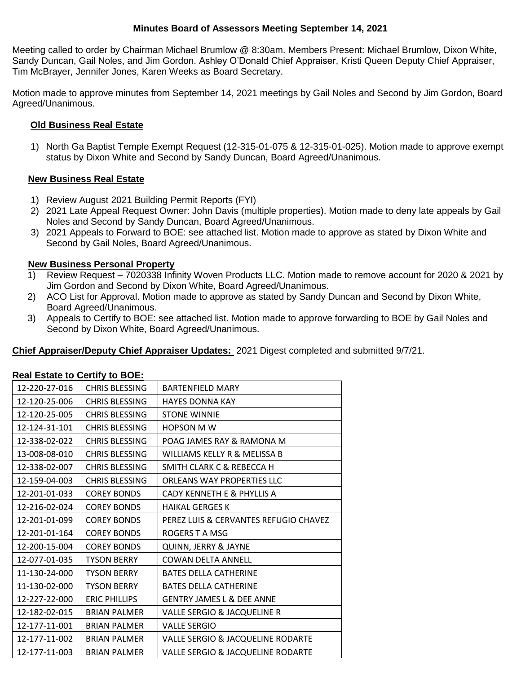### **Minutes Board of Assessors Meeting September 14, 2021**

Meeting called to order by Chairman Michael Brumlow @ 8:30am. Members Present: Michael Brumlow, Dixon White, Sandy Duncan, Gail Noles, and Jim Gordon. Ashley O'Donald Chief Appraiser, Kristi Queen Deputy Chief Appraiser, Tim McBrayer, Jennifer Jones, Karen Weeks as Board Secretary.

Motion made to approve minutes from September 14, 2021 meetings by Gail Noles and Second by Jim Gordon, Board Agreed/Unanimous.

## **Old Business Real Estate**

1) North Ga Baptist Temple Exempt Request (12-315-01-075 & 12-315-01-025). Motion made to approve exempt status by Dixon White and Second by Sandy Duncan, Board Agreed/Unanimous.

### **New Business Real Estate**

- 1) Review August 2021 Building Permit Reports (FYI)
- 2) 2021 Late Appeal Request Owner: John Davis (multiple properties). Motion made to deny late appeals by Gail Noles and Second by Sandy Duncan, Board Agreed/Unanimous.
- 3) 2021 Appeals to Forward to BOE: see attached list. Motion made to approve as stated by Dixon White and Second by Gail Noles, Board Agreed/Unanimous.

### **New Business Personal Property**

- 1) Review Request 7020338 Infinity Woven Products LLC. Motion made to remove account for 2020 & 2021 by Jim Gordon and Second by Dixon White, Board Agreed/Unanimous.
- 2) ACO List for Approval. Motion made to approve as stated by Sandy Duncan and Second by Dixon White, Board Agreed/Unanimous.
- 3) Appeals to Certify to BOE: see attached list. Motion made to approve forwarding to BOE by Gail Noles and Second by Dixon White, Board Agreed/Unanimous.

# **Chief Appraiser/Deputy Chief Appraiser Updates:** 2021 Digest completed and submitted 9/7/21.

| 12-220-27-016 | <b>CHRIS BLESSING</b> | <b>BARTENFIFLD MARY</b>                      |
|---------------|-----------------------|----------------------------------------------|
| 12-120-25-006 | <b>CHRIS BLESSING</b> | <b>HAYES DONNA KAY</b>                       |
| 12-120-25-005 | <b>CHRIS BLESSING</b> | <b>STONE WINNIE</b>                          |
| 12-124-31-101 | <b>CHRIS BLESSING</b> | <b>HOPSON M W</b>                            |
| 12-338-02-022 | <b>CHRIS BLESSING</b> | POAG JAMES RAY & RAMONA M                    |
| 13-008-08-010 | <b>CHRIS BLESSING</b> | WILLIAMS KELLY R & MELISSA B                 |
| 12-338-02-007 | <b>CHRIS BLESSING</b> | SMITH CLARK C & REBECCA H                    |
| 12-159-04-003 | <b>CHRIS BLESSING</b> | <b>ORLEANS WAY PROPERTIES LLC</b>            |
| 12-201-01-033 | <b>COREY BONDS</b>    | CADY KENNETH E & PHYLLIS A                   |
| 12-216-02-024 | <b>COREY BONDS</b>    | <b>HAIKAL GERGES K</b>                       |
| 12-201-01-099 | <b>COREY BONDS</b>    | PEREZ LUIS & CERVANTES REFUGIO CHAVEZ        |
| 12-201-01-164 | <b>COREY BONDS</b>    | ROGERS T A MSG                               |
| 12-200-15-004 | <b>COREY BONDS</b>    | QUINN, JERRY & JAYNE                         |
| 12-077-01-035 | <b>TYSON BERRY</b>    | <b>COWAN DELTA ANNELL</b>                    |
| 11-130-24-000 | <b>TYSON BERRY</b>    | <b>BATES DELLA CATHERINE</b>                 |
| 11-130-02-000 | <b>TYSON BERRY</b>    | <b>BATES DELLA CATHERINE</b>                 |
| 12-227-22-000 | <b>ERIC PHILLIPS</b>  | <b>GENTRY JAMES L &amp; DEE ANNE</b>         |
| 12-182-02-015 | <b>BRIAN PALMER</b>   | <b>VALLE SERGIO &amp; JACQUELINE R</b>       |
| 12-177-11-001 | <b>BRIAN PALMER</b>   | <b>VALLE SERGIO</b>                          |
| 12-177-11-002 | <b>BRIAN PALMER</b>   | <b>VALLE SERGIO &amp; JACQUELINE RODARTE</b> |
| 12-177-11-003 | <b>BRIAN PALMER</b>   | <b>VALLE SERGIO &amp; JACQUELINE RODARTE</b> |

#### **Real Estate to Certify to BOE:**